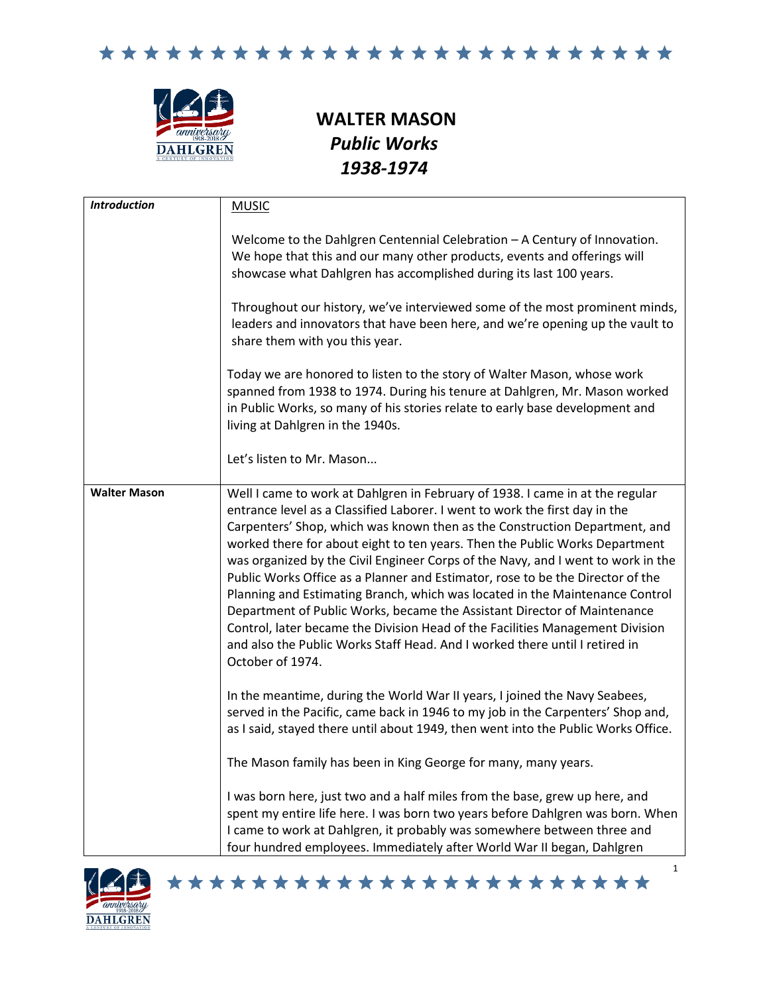



## **WALTER MASON** *Public Works 1938-1974*

| <b>Introduction</b> | <b>MUSIC</b>                                                                                                                                                                                                                                                                                                                                                                                                                                                                                                                                                                                                                                                                                                                                                                                                                                    |
|---------------------|-------------------------------------------------------------------------------------------------------------------------------------------------------------------------------------------------------------------------------------------------------------------------------------------------------------------------------------------------------------------------------------------------------------------------------------------------------------------------------------------------------------------------------------------------------------------------------------------------------------------------------------------------------------------------------------------------------------------------------------------------------------------------------------------------------------------------------------------------|
|                     | Welcome to the Dahlgren Centennial Celebration - A Century of Innovation.<br>We hope that this and our many other products, events and offerings will<br>showcase what Dahlgren has accomplished during its last 100 years.                                                                                                                                                                                                                                                                                                                                                                                                                                                                                                                                                                                                                     |
|                     | Throughout our history, we've interviewed some of the most prominent minds,<br>leaders and innovators that have been here, and we're opening up the vault to<br>share them with you this year.                                                                                                                                                                                                                                                                                                                                                                                                                                                                                                                                                                                                                                                  |
|                     | Today we are honored to listen to the story of Walter Mason, whose work<br>spanned from 1938 to 1974. During his tenure at Dahlgren, Mr. Mason worked<br>in Public Works, so many of his stories relate to early base development and<br>living at Dahlgren in the 1940s.                                                                                                                                                                                                                                                                                                                                                                                                                                                                                                                                                                       |
|                     | Let's listen to Mr. Mason                                                                                                                                                                                                                                                                                                                                                                                                                                                                                                                                                                                                                                                                                                                                                                                                                       |
| <b>Walter Mason</b> | Well I came to work at Dahlgren in February of 1938. I came in at the regular<br>entrance level as a Classified Laborer. I went to work the first day in the<br>Carpenters' Shop, which was known then as the Construction Department, and<br>worked there for about eight to ten years. Then the Public Works Department<br>was organized by the Civil Engineer Corps of the Navy, and I went to work in the<br>Public Works Office as a Planner and Estimator, rose to be the Director of the<br>Planning and Estimating Branch, which was located in the Maintenance Control<br>Department of Public Works, became the Assistant Director of Maintenance<br>Control, later became the Division Head of the Facilities Management Division<br>and also the Public Works Staff Head. And I worked there until I retired in<br>October of 1974. |
|                     | In the meantime, during the World War II years, I joined the Navy Seabees,<br>served in the Pacific, came back in 1946 to my job in the Carpenters' Shop and,<br>as I said, stayed there until about 1949, then went into the Public Works Office.                                                                                                                                                                                                                                                                                                                                                                                                                                                                                                                                                                                              |
|                     | The Mason family has been in King George for many, many years.                                                                                                                                                                                                                                                                                                                                                                                                                                                                                                                                                                                                                                                                                                                                                                                  |
|                     | I was born here, just two and a half miles from the base, grew up here, and<br>spent my entire life here. I was born two years before Dahlgren was born. When<br>I came to work at Dahlgren, it probably was somewhere between three and<br>four hundred employees. Immediately after World War II began, Dahlgren                                                                                                                                                                                                                                                                                                                                                                                                                                                                                                                              |

\*\*\*\*\*\*\*\*\*\*\*\*\*\*\*\*\*\*\*\*\*\*\*

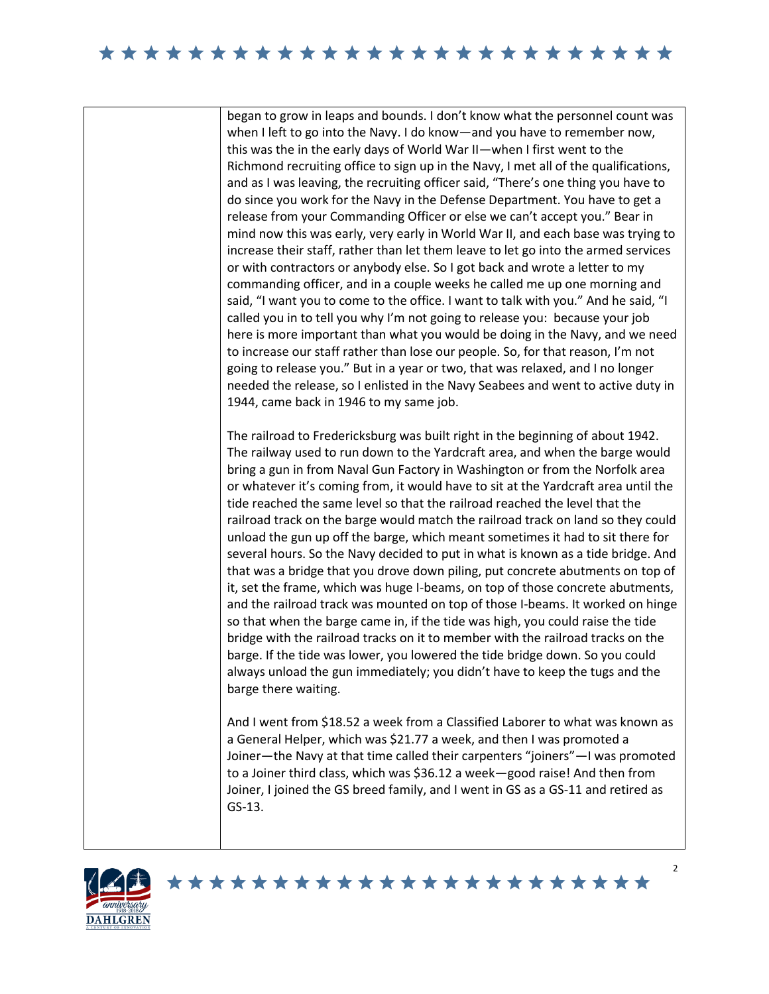began to grow in leaps and bounds. I don't know what the personnel count was when I left to go into the Navy. I do know—and you have to remember now, this was the in the early days of World War II—when I first went to the Richmond recruiting office to sign up in the Navy, I met all of the qualifications, and as I was leaving, the recruiting officer said, "There's one thing you have to do since you work for the Navy in the Defense Department. You have to get a release from your Commanding Officer or else we can't accept you." Bear in mind now this was early, very early in World War II, and each base was trying to increase their staff, rather than let them leave to let go into the armed services or with contractors or anybody else. So I got back and wrote a letter to my commanding officer, and in a couple weeks he called me up one morning and said, "I want you to come to the office. I want to talk with you." And he said, "I called you in to tell you why I'm not going to release you: because your job here is more important than what you would be doing in the Navy, and we need to increase our staff rather than lose our people. So, for that reason, I'm not going to release you." But in a year or two, that was relaxed, and I no longer needed the release, so I enlisted in the Navy Seabees and went to active duty in 1944, came back in 1946 to my same job.

The railroad to Fredericksburg was built right in the beginning of about 1942. The railway used to run down to the Yardcraft area, and when the barge would bring a gun in from Naval Gun Factory in Washington or from the Norfolk area or whatever it's coming from, it would have to sit at the Yardcraft area until the tide reached the same level so that the railroad reached the level that the railroad track on the barge would match the railroad track on land so they could unload the gun up off the barge, which meant sometimes it had to sit there for several hours. So the Navy decided to put in what is known as a tide bridge. And that was a bridge that you drove down piling, put concrete abutments on top of it, set the frame, which was huge I-beams, on top of those concrete abutments, and the railroad track was mounted on top of those I-beams. It worked on hinge so that when the barge came in, if the tide was high, you could raise the tide bridge with the railroad tracks on it to member with the railroad tracks on the barge. If the tide was lower, you lowered the tide bridge down. So you could always unload the gun immediately; you didn't have to keep the tugs and the barge there waiting.

And I went from \$18.52 a week from a Classified Laborer to what was known as a General Helper, which was \$21.77 a week, and then I was promoted a Joiner—the Navy at that time called their carpenters "joiners"—I was promoted to a Joiner third class, which was \$36.12 a week—good raise! And then from Joiner, I joined the GS breed family, and I went in GS as a GS-11 and retired as GS-13.

\*\*\*\*\*\*\*\*\*\*\*\*\*\*\*\*\*\*\*\*\*\*\*

 $\mathfrak{p}$ 

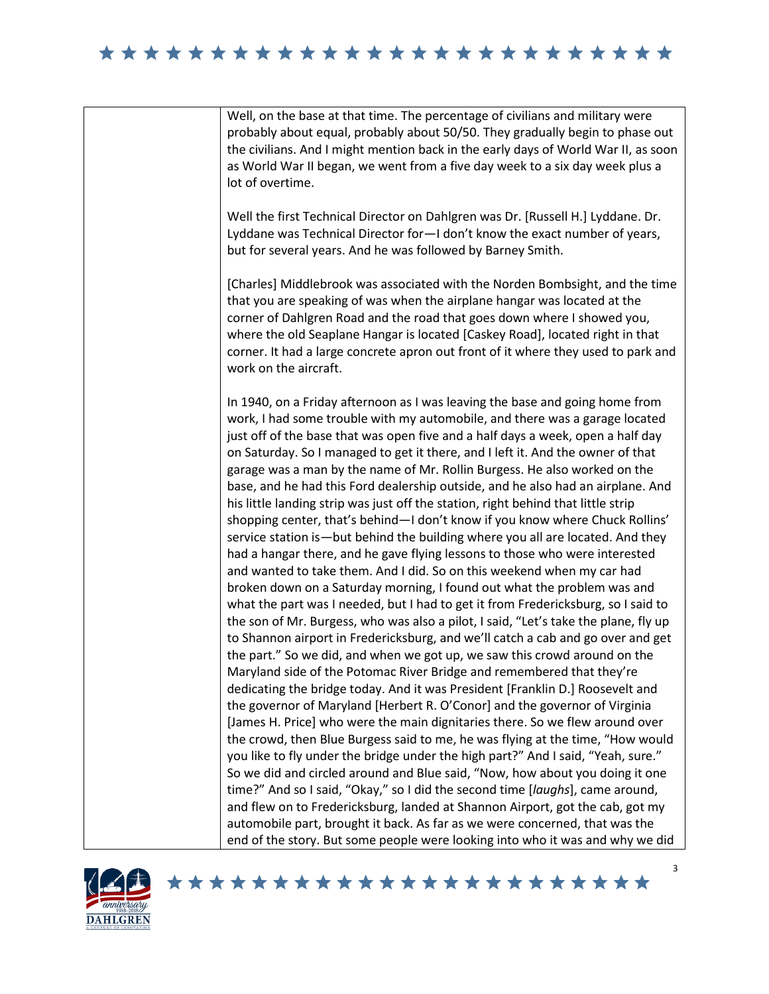



## \*\*\*\*\*\*\*\*\*\*\*\*\*\*\*\*\*\*\*\*\*\*\*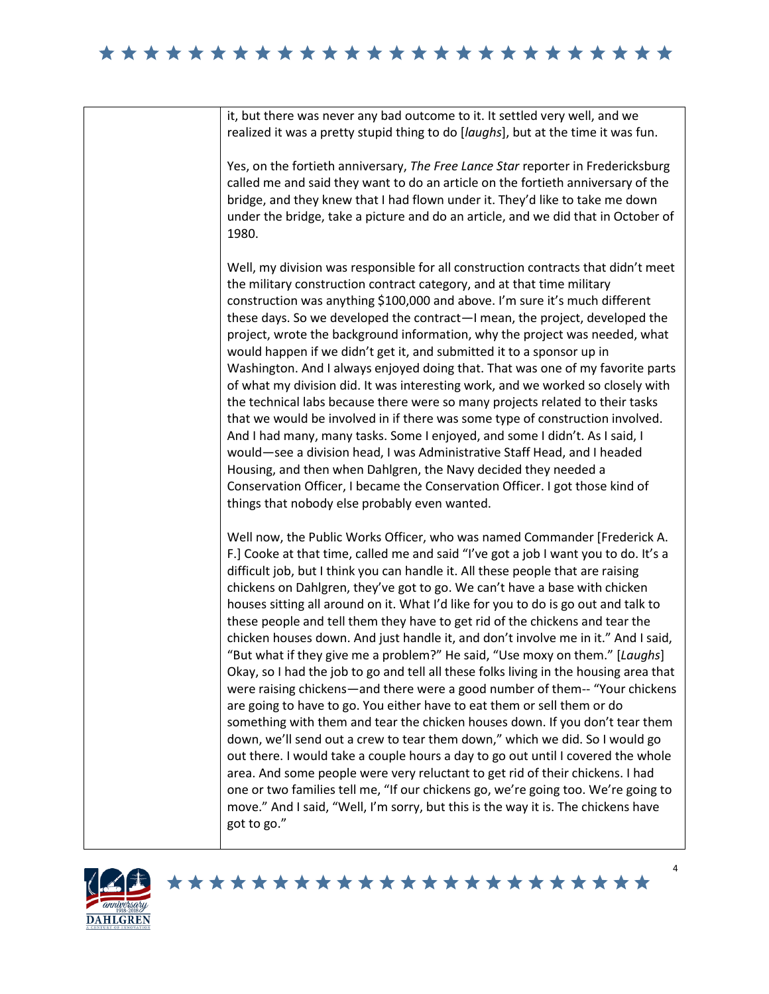| it, but there was never any bad outcome to it. It settled very well, and we<br>realized it was a pretty stupid thing to do [laughs], but at the time it was fun.                                                                                                                                                                                                                                                                                                                                                                                                                                                                                                                                                                                                                                                                                                                                                                                                                                                                                                                                                                                                                                                                                                                                                                                                                                                                                            |
|-------------------------------------------------------------------------------------------------------------------------------------------------------------------------------------------------------------------------------------------------------------------------------------------------------------------------------------------------------------------------------------------------------------------------------------------------------------------------------------------------------------------------------------------------------------------------------------------------------------------------------------------------------------------------------------------------------------------------------------------------------------------------------------------------------------------------------------------------------------------------------------------------------------------------------------------------------------------------------------------------------------------------------------------------------------------------------------------------------------------------------------------------------------------------------------------------------------------------------------------------------------------------------------------------------------------------------------------------------------------------------------------------------------------------------------------------------------|
| Yes, on the fortieth anniversary, The Free Lance Star reporter in Fredericksburg<br>called me and said they want to do an article on the fortieth anniversary of the<br>bridge, and they knew that I had flown under it. They'd like to take me down<br>under the bridge, take a picture and do an article, and we did that in October of<br>1980.                                                                                                                                                                                                                                                                                                                                                                                                                                                                                                                                                                                                                                                                                                                                                                                                                                                                                                                                                                                                                                                                                                          |
| Well, my division was responsible for all construction contracts that didn't meet<br>the military construction contract category, and at that time military<br>construction was anything \$100,000 and above. I'm sure it's much different<br>these days. So we developed the contract-I mean, the project, developed the<br>project, wrote the background information, why the project was needed, what<br>would happen if we didn't get it, and submitted it to a sponsor up in<br>Washington. And I always enjoyed doing that. That was one of my favorite parts<br>of what my division did. It was interesting work, and we worked so closely with<br>the technical labs because there were so many projects related to their tasks<br>that we would be involved in if there was some type of construction involved.<br>And I had many, many tasks. Some I enjoyed, and some I didn't. As I said, I<br>would-see a division head, I was Administrative Staff Head, and I headed<br>Housing, and then when Dahlgren, the Navy decided they needed a<br>Conservation Officer, I became the Conservation Officer. I got those kind of<br>things that nobody else probably even wanted.                                                                                                                                                                                                                                                                     |
| Well now, the Public Works Officer, who was named Commander [Frederick A.<br>F.] Cooke at that time, called me and said "I've got a job I want you to do. It's a<br>difficult job, but I think you can handle it. All these people that are raising<br>chickens on Dahlgren, they've got to go. We can't have a base with chicken<br>houses sitting all around on it. What I'd like for you to do is go out and talk to<br>these people and tell them they have to get rid of the chickens and tear the<br>chicken houses down. And just handle it, and don't involve me in it." And I said,<br>"But what if they give me a problem?" He said, "Use moxy on them." [Laughs]<br>Okay, so I had the job to go and tell all these folks living in the housing area that<br>were raising chickens—and there were a good number of them-- "Your chickens<br>are going to have to go. You either have to eat them or sell them or do<br>something with them and tear the chicken houses down. If you don't tear them<br>down, we'll send out a crew to tear them down," which we did. So I would go<br>out there. I would take a couple hours a day to go out until I covered the whole<br>area. And some people were very reluctant to get rid of their chickens. I had<br>one or two families tell me, "If our chickens go, we're going too. We're going to<br>move." And I said, "Well, I'm sorry, but this is the way it is. The chickens have<br>got to go." |

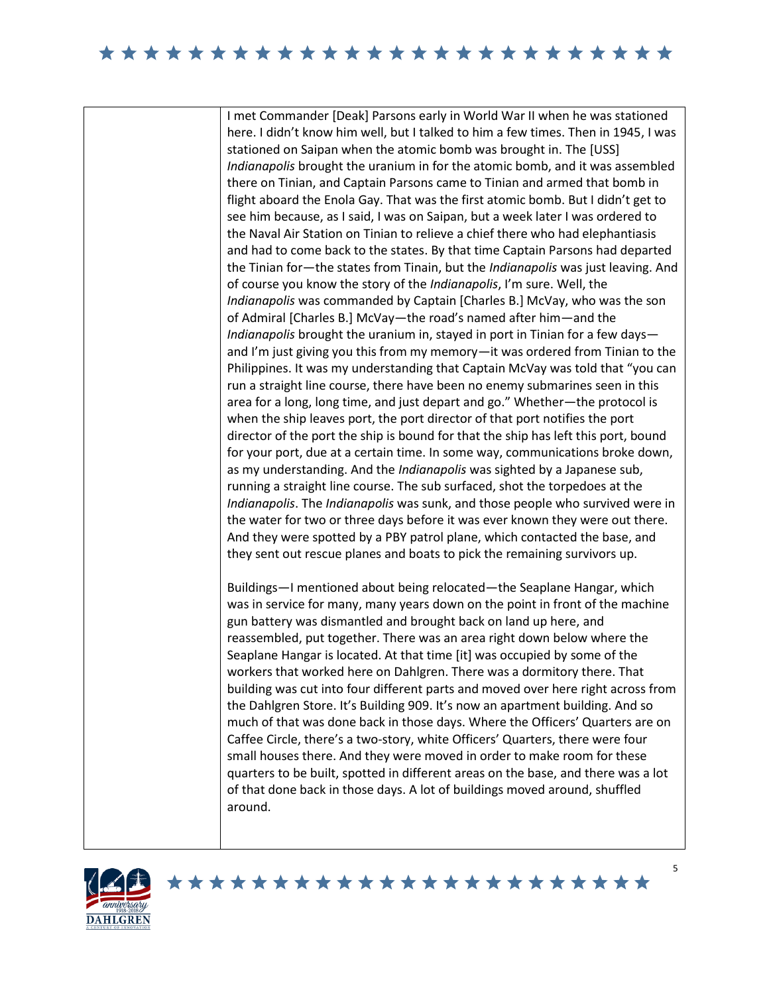I met Commander [Deak] Parsons early in World War II when he was stationed here. I didn't know him well, but I talked to him a few times. Then in 1945, I was stationed on Saipan when the atomic bomb was brought in. The [USS] *Indianapolis* brought the uranium in for the atomic bomb, and it was assembled there on Tinian, and Captain Parsons came to Tinian and armed that bomb in flight aboard the Enola Gay. That was the first atomic bomb. But I didn't get to see him because, as I said, I was on Saipan, but a week later I was ordered to the Naval Air Station on Tinian to relieve a chief there who had elephantiasis and had to come back to the states. By that time Captain Parsons had departed the Tinian for—the states from Tinain, but the *Indianapolis* was just leaving. And of course you know the story of the *Indianapolis*, I'm sure. Well, the *Indianapolis* was commanded by Captain [Charles B.] McVay, who was the son of Admiral [Charles B.] McVay—the road's named after him—and the *Indianapolis* brought the uranium in, stayed in port in Tinian for a few days and I'm just giving you this from my memory—it was ordered from Tinian to the Philippines. It was my understanding that Captain McVay was told that "you can run a straight line course, there have been no enemy submarines seen in this area for a long, long time, and just depart and go." Whether—the protocol is when the ship leaves port, the port director of that port notifies the port director of the port the ship is bound for that the ship has left this port, bound for your port, due at a certain time. In some way, communications broke down, as my understanding. And the *Indianapolis* was sighted by a Japanese sub, running a straight line course. The sub surfaced, shot the torpedoes at the *Indianapolis*. The *Indianapolis* was sunk, and those people who survived were in the water for two or three days before it was ever known they were out there. And they were spotted by a PBY patrol plane, which contacted the base, and they sent out rescue planes and boats to pick the remaining survivors up.

Buildings—I mentioned about being relocated—the Seaplane Hangar, which was in service for many, many years down on the point in front of the machine gun battery was dismantled and brought back on land up here, and reassembled, put together. There was an area right down below where the Seaplane Hangar is located. At that time [it] was occupied by some of the workers that worked here on Dahlgren. There was a dormitory there. That building was cut into four different parts and moved over here right across from the Dahlgren Store. It's Building 909. It's now an apartment building. And so much of that was done back in those days. Where the Officers' Quarters are on Caffee Circle, there's a two-story, white Officers' Quarters, there were four small houses there. And they were moved in order to make room for these quarters to be built, spotted in different areas on the base, and there was a lot of that done back in those days. A lot of buildings moved around, shuffled around.

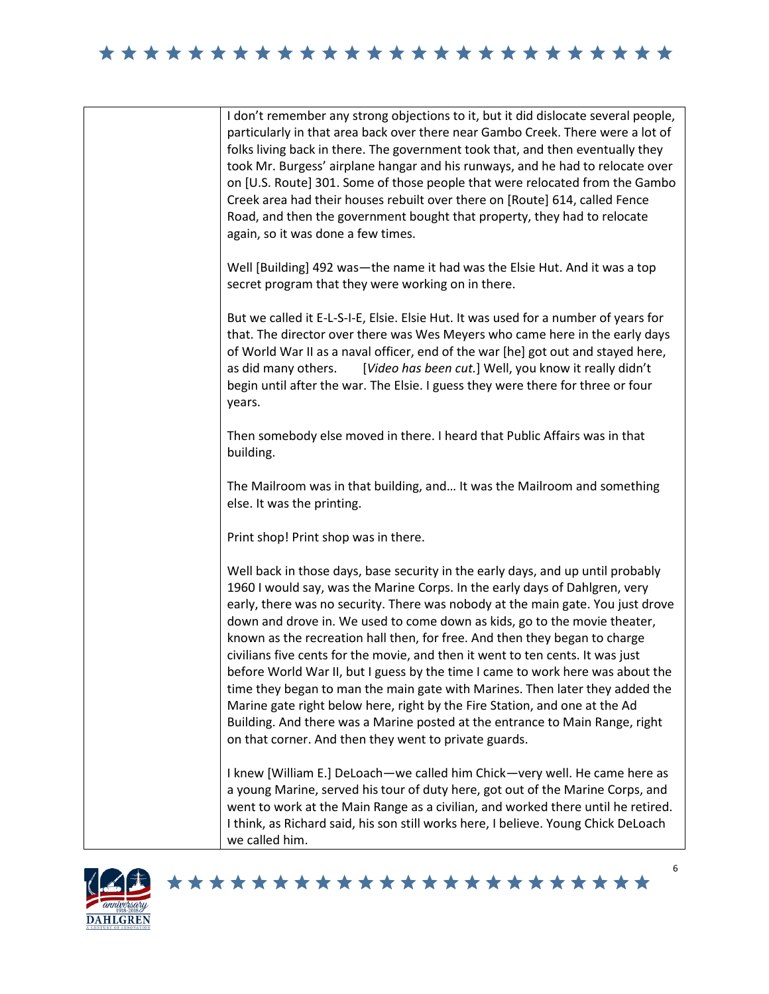|  | I don't remember any strong objections to it, but it did dislocate several people,<br>particularly in that area back over there near Gambo Creek. There were a lot of<br>folks living back in there. The government took that, and then eventually they<br>took Mr. Burgess' airplane hangar and his runways, and he had to relocate over<br>on [U.S. Route] 301. Some of those people that were relocated from the Gambo<br>Creek area had their houses rebuilt over there on [Route] 614, called Fence<br>Road, and then the government bought that property, they had to relocate<br>again, so it was done a few times.                                                                                                                                                                                                                                                              |
|--|-----------------------------------------------------------------------------------------------------------------------------------------------------------------------------------------------------------------------------------------------------------------------------------------------------------------------------------------------------------------------------------------------------------------------------------------------------------------------------------------------------------------------------------------------------------------------------------------------------------------------------------------------------------------------------------------------------------------------------------------------------------------------------------------------------------------------------------------------------------------------------------------|
|  | Well [Building] 492 was-the name it had was the Elsie Hut. And it was a top<br>secret program that they were working on in there.                                                                                                                                                                                                                                                                                                                                                                                                                                                                                                                                                                                                                                                                                                                                                       |
|  | But we called it E-L-S-I-E, Elsie. Elsie Hut. It was used for a number of years for<br>that. The director over there was Wes Meyers who came here in the early days<br>of World War II as a naval officer, end of the war [he] got out and stayed here,<br>[Video has been cut.] Well, you know it really didn't<br>as did many others.<br>begin until after the war. The Elsie. I guess they were there for three or four<br>years.                                                                                                                                                                                                                                                                                                                                                                                                                                                    |
|  | Then somebody else moved in there. I heard that Public Affairs was in that<br>building.                                                                                                                                                                                                                                                                                                                                                                                                                                                                                                                                                                                                                                                                                                                                                                                                 |
|  | The Mailroom was in that building, and It was the Mailroom and something<br>else. It was the printing.                                                                                                                                                                                                                                                                                                                                                                                                                                                                                                                                                                                                                                                                                                                                                                                  |
|  | Print shop! Print shop was in there.                                                                                                                                                                                                                                                                                                                                                                                                                                                                                                                                                                                                                                                                                                                                                                                                                                                    |
|  | Well back in those days, base security in the early days, and up until probably<br>1960 I would say, was the Marine Corps. In the early days of Dahlgren, very<br>early, there was no security. There was nobody at the main gate. You just drove<br>down and drove in. We used to come down as kids, go to the movie theater,<br>known as the recreation hall then, for free. And then they began to charge<br>civilians five cents for the movie, and then it went to ten cents. It was just<br>before World War II, but I guess by the time I came to work here was about the<br>time they began to man the main gate with Marines. Then later they added the<br>Marine gate right below here, right by the Fire Station, and one at the Ad<br>Building. And there was a Marine posted at the entrance to Main Range, right<br>on that corner. And then they went to private guards. |
|  | I knew [William E.] DeLoach-we called him Chick-very well. He came here as<br>a young Marine, served his tour of duty here, got out of the Marine Corps, and<br>went to work at the Main Range as a civilian, and worked there until he retired.<br>I think, as Richard said, his son still works here, I believe. Young Chick DeLoach<br>we called him.                                                                                                                                                                                                                                                                                                                                                                                                                                                                                                                                |



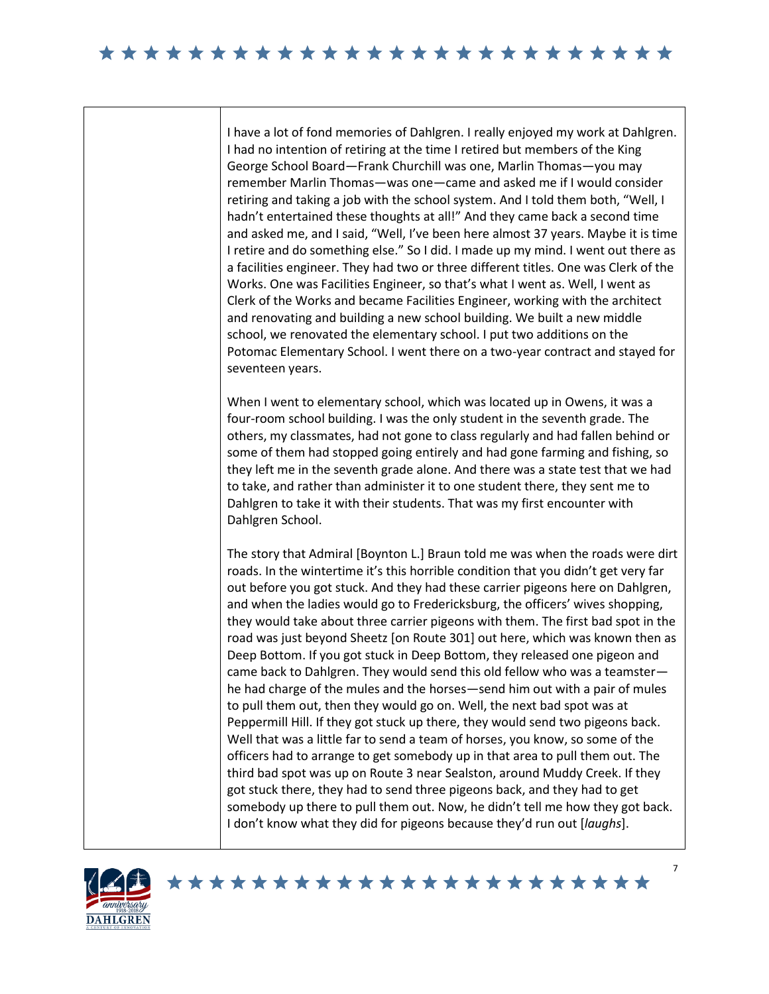I have a lot of fond memories of Dahlgren. I really enjoyed my work at Dahlgren. I had no intention of retiring at the time I retired but members of the King George School Board—Frank Churchill was one, Marlin Thomas—you may remember Marlin Thomas—was one—came and asked me if I would consider retiring and taking a job with the school system. And I told them both, "Well, I hadn't entertained these thoughts at all!" And they came back a second time and asked me, and I said, "Well, I've been here almost 37 years. Maybe it is time I retire and do something else." So I did. I made up my mind. I went out there as a facilities engineer. They had two or three different titles. One was Clerk of the Works. One was Facilities Engineer, so that's what I went as. Well, I went as Clerk of the Works and became Facilities Engineer, working with the architect and renovating and building a new school building. We built a new middle school, we renovated the elementary school. I put two additions on the Potomac Elementary School. I went there on a two-year contract and stayed for seventeen years.

When I went to elementary school, which was located up in Owens, it was a four-room school building. I was the only student in the seventh grade. The others, my classmates, had not gone to class regularly and had fallen behind or some of them had stopped going entirely and had gone farming and fishing, so they left me in the seventh grade alone. And there was a state test that we had to take, and rather than administer it to one student there, they sent me to Dahlgren to take it with their students. That was my first encounter with Dahlgren School.

The story that Admiral [Boynton L.] Braun told me was when the roads were dirt roads. In the wintertime it's this horrible condition that you didn't get very far out before you got stuck. And they had these carrier pigeons here on Dahlgren, and when the ladies would go to Fredericksburg, the officers' wives shopping, they would take about three carrier pigeons with them. The first bad spot in the road was just beyond Sheetz [on Route 301] out here, which was known then as Deep Bottom. If you got stuck in Deep Bottom, they released one pigeon and came back to Dahlgren. They would send this old fellow who was a teamster he had charge of the mules and the horses—send him out with a pair of mules to pull them out, then they would go on. Well, the next bad spot was at Peppermill Hill. If they got stuck up there, they would send two pigeons back. Well that was a little far to send a team of horses, you know, so some of the officers had to arrange to get somebody up in that area to pull them out. The third bad spot was up on Route 3 near Sealston, around Muddy Creek. If they got stuck there, they had to send three pigeons back, and they had to get somebody up there to pull them out. Now, he didn't tell me how they got back. I don't know what they did for pigeons because they'd run out [*laughs*].

\*\*\*\*\*\*\*\*\*\*\*\*\*\*\*\*\*\*\*\*\*\*\*